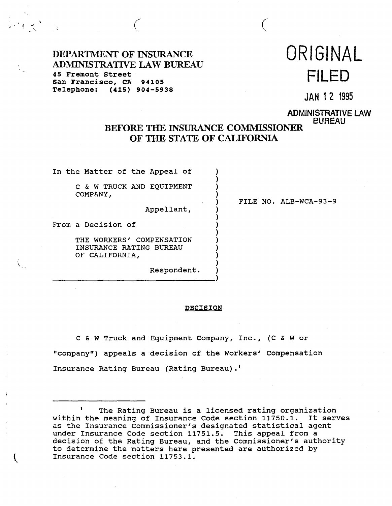DEPARTMENT OF INSURANCE ORIGINAL ADMINISTRATIVE LAW BUREAU 45 Fremont Street San Francisco, **CA 94105 FILED**  Telephone: **(415) 904-5938** 

JAN 1 2 1995

ADMINISTRATIVE LAW BUREAU

# BEFORE THE INSURANCE COMMISSIONER OF THE STATE OF CALIFORNIA

)

)

)

)

)

*(* (

In the Matter of the Appeal of

C & W TRUCK AND EQUIPMENT COMPANY,

Appellant, )

From a Decision of )

i ( )<br>| THE WORKERS' COMPENSATION INSURANCE RATING BUREAU ) OF CALIFORNIA,

Respondent. )

) FILE NO. ALB-WCA-93-9

## **DECISION**

c & W Truck and Equipment Company, Inc., (C & W or "company") appeals a decision of the Workers' Compensation Insurance Rating Bureau (Rating Bureau) • <sup>1</sup>

The Rating Bureau is a licensed rating organization within the meaning of Insurance Code section 11750.1. It serves as the Insurance Commissioner's designated statistical agent under Insurance Code section 11751.5. This appeal from a decision of the Rating Bureau, and the Commissioner's authority to determine the matters here presented are authorized by Insurance Code section 11753.1.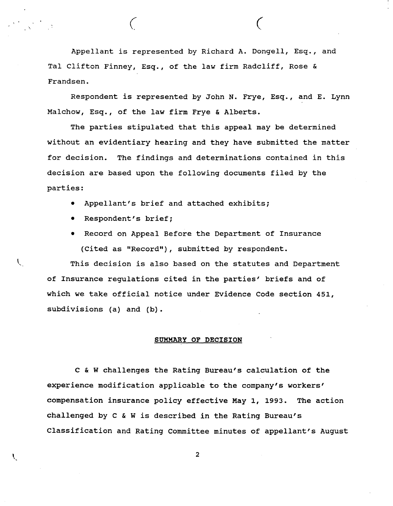Appellant is represented by Richard A. Dongell, Esq., and Tal Clifton Finney, Esq., of the law firm Radcliff, Rose & Frandsen.

*( (* 

Respondent is represented by John N. Frye, Esq., and E. Lynn Malchow, Esq., of the law firm Frye & Alberts.

The parties stipulated that this appeal may be determined without an evidentiary hearing and they have submitted the matter for decision. The findings and determinations contained in this decision are based upon the following documents filed by the parties:

- Appellant's brief and attached exhibits;
- Respondent's brief;

L.

• Record on Appeal Before the Department of Insurance (Cited as "Record"), submitted by respondent.

This decision is also based on the statutes and Department of Insurance regulations cited in the parties' briefs and of which we take official notice under Evidence Code section 451, subdivisions (a) and (b).

## **SUMMARY OF DECISION**

C & W challenges the Rating Bureau's calculation of the experience modification applicable to the company's workers' compensation insurance policy effective May 1, 1993. The action challenged by C & Wis described in the Rating Bureau's Classification and Rating Committee minutes of appellant's August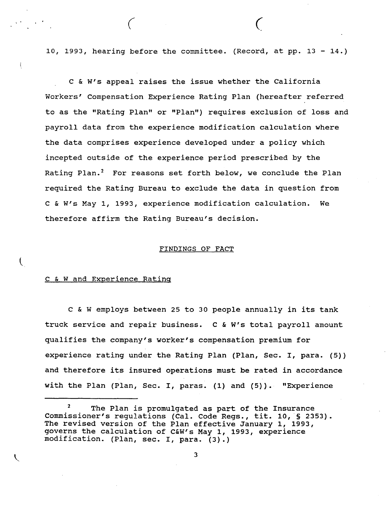10, 1993, hearing before the committee. (Record, at pp. 13 - 14.)

*(* (

C & W's appeal raises the issue whether the California Workers' Compensation Experience Rating Plan (hereafter referred to as the "Rating Plan" or "Plan") requires exclusion of loss and payroll data from the experience modification calculation where the data comprises experience developed under a policy which incepted outside of the experience period prescribed by the Rating Plan.<sup>2</sup> For reasons set forth below, we conclude the Plan required the Rating Bureau to exclude the data in question from C & W's May 1, 1993, experience modification calculation. We therefore affirm the Rating Bureau's decision.

## FINDINGS OF **FACT**

## C & Wand Experience Rating

C & W employs between 25 to 30 people annually in its tank truck service and repair business. C & W's total payroll amount qualifies the company's worker's compensation premium for experience rating under the Rating Plan (Plan, Sec. I, para. (5)) and therefore its insured operations must be rated in accordance with the Plan (Plan, Sec. I, paras. (1) and (5)). "Experience

The Plan is promulgated as part of the Insurance Commissioner's regulations (Cal. Code Regs., tit. 10, § 2353). The revised version of the Plan effective January 1, 1993, governs the calculation of C&W's May 1, 1993, experience modification. (Plan, sec. I, para. (3).)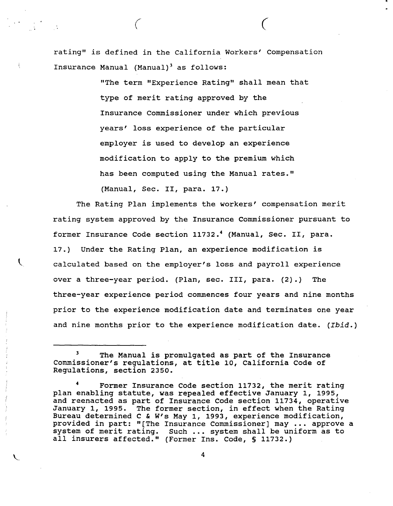rating" is defined in the California Workers' Compensation Insurance Manual (Manual)<sup>3</sup> as follows:

> "The term "Experience Rating" shall mean that type of merit rating approved by the Insurance Commissioner under which previous years' loss experience of the particular employer is used to develop an experience modification to apply to the premium which has been computed using the Manual rates."

*(* C

(Manual, Sec. II, para. 17.)

The Rating Plan implements the workers' compensation merit rating system approved by the Insurance Commissioner pursuant to former Insurance Code section 11732.<sup>4</sup> (Manual, Sec. II, para. 17.) Under the Rating Plan, an experience modification is calculated based on the employer's loss and payroll experience over a three-year period. (Plan, sec. III, para. (2).) The three-year experience period commences four years and nine months prior to the experience modification date and terminates one year and nine months prior to the experience modification date. *(Ibid.)* 

The Manual is promulgated as part of the Insurance Commissioner's regulations, at title 10, California Code of Regulations, section 2350.

<sup>4</sup>Former Insurance Code section 11732, the merit rating plan enabling statute, was repealed effective January 1, 1995, and reenacted as part of Insurance Code section 11734, operative January 1, 1995. The former section, in effect when the Rating Bureau determined c & W's May 1, 1993, experience modification, provided in part: "[The Insurance Commissioner] may •.. approve a system of merit rating. Such ..• system shall be uniform as to all insurers affected." (Former Ins. Code, § 11732.)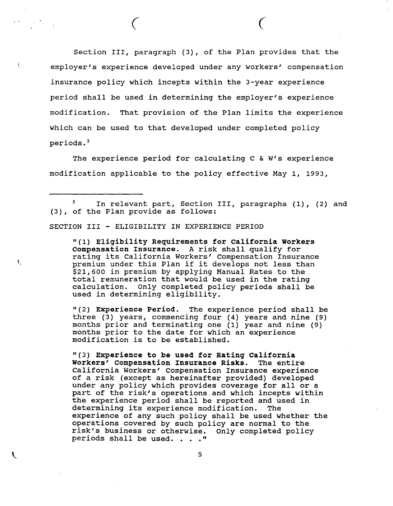Section III, paragraph (3), of the Plan provides that the employer's experience developed under any workers' compensation insurance policy which incepts within the 3-year experience period shall be used in determining the employer's experience modification. That provision of the Plan limits the experience which can be used to that developed under completed policy periods.<sup>5</sup>

*(* (

The experience period for calculating c & W's experience modification applicable to the policy effective May 1, 1993,

<sup>5</sup> In relevant part, Section III, paragraphs (1), (2) and (3), of the Plan provide as follows:

SECTION III - ELIGIBILITY IN EXPERIENCE PERIOD

V

"(l} **Eligibility Requirements for California Workers compensation Insurance. A** risk shall qualify for rating its California Workers' Compensation Insurance premium under this Plan if it develops not less than \$21,600 in premium by applying Manual Rates to the total remuneration that would be used in the rating calculation. Only completed policy periods shall be used in determining eligibility.

"(2} **Experience Period.** The experience period shall be three (3} years, commencing four (4} years and nine (9} months prior and terminating one (1) year and nine (9) months prior to the date for which an experience modification is to be established.

"(3} **Experience to be used for Rating California Workers' Compensation Insurance Risks.** The entire California Workers' Compensation Insurance experience of a risk (except as hereinafter provided} developed under any policy which provides coverage for all or a part of the risk's operations.and which incepts within the experience period shall be reported and used in determining its experience modification. The experience of any such policy shall be used whether the operations covered by such policy are normal to the operactions covered by such policy are normal to the<br>risk's business or otherwise. Only completed policy<br>periods shall be used. . . ."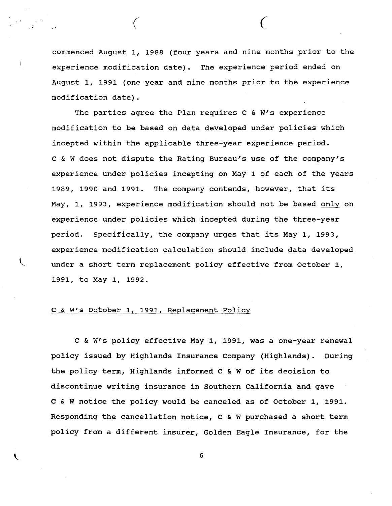commenced August 1, 1988 (four years and nine months prior to the experience modification date). The experience period ended on August 1, 1991 (one year and nine months prior to the experience modification date).

*( (* 

The parties agree the Plan requires C & W's experience modification to be based on data developed under policies which incepted within the applicable three-year experience period. c & W does not dispute the Rating Bureau's use of the company's experience under policies incepting on May 1 of each of the years 1989, 1990 and 1991. The company contends, however, that its May, 1, 1993, experience modification should not be based only on experience under policies which incepted during the three-year period. Specifically, the company urges that its May 1, 1993, experience modification calculation should include data developed under a short term replacement policy effective from October 1, 1991, to May 1, 1992.

## C & W's October 1. 1991. Replacement Policy

C & W's policy effective May 1, 1991, was a one-year renewal policy issued by Highlands Insurance Company (Highlands). During the policy term, Highlands informed C & W of its decision to discontinue writing insurance in Southern California and gave C & W notice the policy would be canceled as of October 1, 1991. Responding the cancellation notice, c & W purchased a short term policy from a different insurer, Golden Eagle Insurance, for the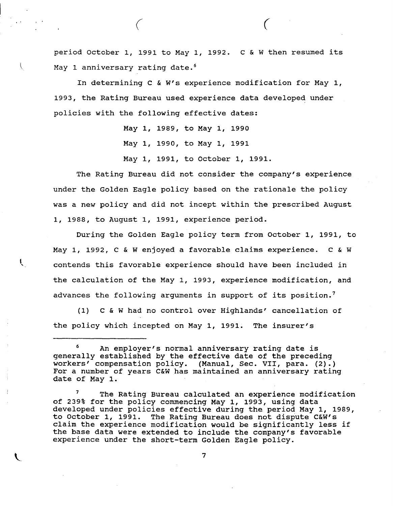period October 1, 1991 to May 1, 1992. C & W then resumed its May 1 anniversary rating date.<sup>6</sup>

*( (* 

In determining C & W's experience modification for May 1, 1993, the Rating Bureau used experience data developed under policies with the following effective dates:

May 1, 1989, to May 1, 1990

May 1, 1990, to May 1, 1991

May 1, 1991, to October 1, 1991.

The Rating Bureau did not consider the company's experience under the Golden Eagle policy based on the rationale the policy was a new policy and did not incept within the prescribed August 1, 1988, to August 1, 1991, experience period.

During the Golden Eagle policy term from October 1, 1991, to May 1, 1992, C & W enjoyed a favorable claims experience. c & **W**  contends this favorable experience should have been included in the calculation of the May 1, 1993, experience modification, and advances the following arguments in support of its position.<sup>7</sup>

 $\mathbf{L}$ 

(1) C & W had no control over Highlands' cancellation of the policy which incepted on May 1, 1991. The insurer's

*<sup>6</sup>*An employer's normal anniversary rating date is generally established by the effective date of the preceding workers' compensation policy. (Manual, Sec. VII, para. (2).) For a number of years C&W has maintained an anniversary rating date of May 1.

The Rating Bureau calculated an experience modification of 239% for the policy commencing May 1, 1993, using data developed under policies effective during the period May 1, 1989, to October 1, 1991. The Rating Bureau does not dispute C&W's claim the experience modification would be significantly less if the base data were extended to include the company's favorable experience under the short-term Golden Eagle policy. 7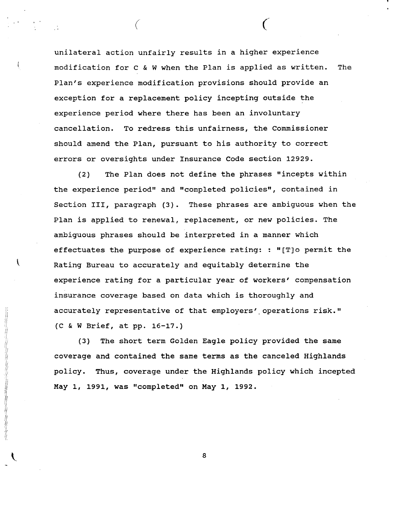unilateral action unfairly results in a higher experience modification for c & W when the Plan is applied as written. The Plan's experience modification provisions should provide an exception for a replacement policy incepting outside the experience period where there has been an involuntary cancellation. To redress this unfairness, the Commissioner should amend the Plan, pursuant to his authority to correct errors or oversights under Insurance Code section 12929.

 $($   $($ 

(2) The Plan does not define the phrases "incepts within the experience period" and "completed policies", contained in Section III, paragraph (3). These phrases are ambiguous when the Plan is applied to renewal, replacement, or new policies. The ambiguous phrases should be interpreted in a manner which effectuates the purpose of experience rating: : "[T]o permit the Rating Bureau to accurately and equitably determine the experience rating for a particular year of workers' compensation insurance coverage based on data which is thoroughly and accurately representative of that employers' operations risk." (C & W Brief, at pp. 16-17.)

(3) The short term Golden Eagle policy provided the same coverage and contained the same terms as the canceled Highlands policy. Thus, coverage under the Highlands policy which incepted May 1, 1991, was "completed" on May 1, 1992.

"好好好好好好好的时候,我们在我们的时候,我们的时候就会在我们的时候,我们的时候,我们的时候,我们的时候,我们的时候,我们的时候,我们的时候,我们的时候,我们的时候,我们的时候,我们的时候,我们的时候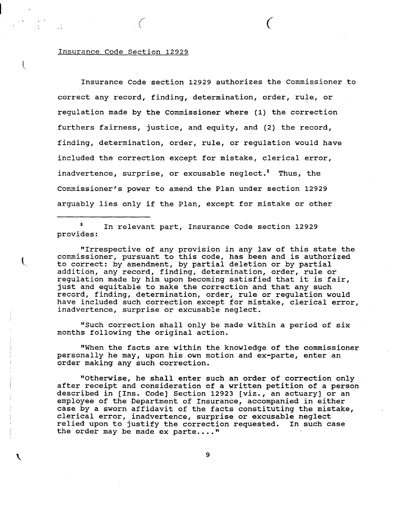## Insurance Code Section 12929

 $\left(\right)$ 

Insurance Code section 12929 authorizes the Commissioner to correct any record, finding, determination, order, rule, or regulation made by the Commissioner where (1) the correction furthers fairness, justice, and equity, and (2) the record, finding, determination, order, rule, or regulation would have included the correction except for mistake, clerical error, inadvertence, surprise, or excusable neglect.<sup>8</sup> Thus, the Commissioner's power to amend the Plan under section 12929 arguably lies only if the Plan, except for mistake or other

*( (* 

In relevant part, Insurance Code section 12929 provides:

"Irrespective of any provision in any law of this state the commissioner, pursuant to this code, has been and is authorized<br>to correct: by amendment, by partial deletion or by partial to correct: by amendment, by partial deletion or by partial<br>addition, any record, finding, determination, order, rule or regulation made by him upon becoming satisfied that it is fair, just and equitable to make the correction and that any such record, finding, determination, order, rule or regulation would have included such correction except for mistake, clerical error, inadvertence, surprise or excusable neglect.

> "Such correction shall only be made within a period of six months following the original action.

"When the facts are within the knowledge of the commissioner personally he may, upon his own motion and ex-parte, enter an order making any such correction.

"Otherwise, he shall enter such an order of correction only after receipt and consideration of a written petition of a person described in (Ins. Code] Section 12923 **[viz.,** an actuary) or an employee of the Department of Insurance, accompanied in either case by a sworn affidavit of the facts constituting the mistake, case sy a sworm arritative of the races constructing the mist relied upon to justify the correction requested. In such case the order may be made ex parte...."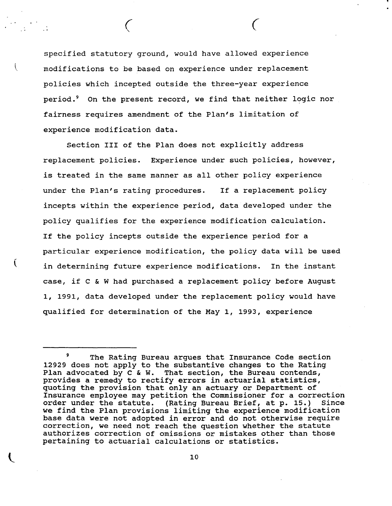specified statutory ground, would have allowed experience modifications to be based on experience under replacement policies which incepted outside the three-year experience period.<sup>9</sup> On the present record, we find that neither logic nor fairness requires amendment of the Plan's limitation of experience modification data.

' *(* 

*(*

Section III of the Plan does not explicitly address replacement policies. Experience under such policies, however, is treated in the same manner as all other policy experience under the Plan's rating procedures. If a replacement policy incepts within the experience period, data developed under the policy qualifies for the experience modification calculation. If the policy incepts outside the experience period for a particular experience modification, the policy data will be used \ in determining future experience modifications. In the instant case, if C & W had purchased a replacement policy before August 1, 1991, data developed under the replacement policy would have qualified for determination of the May 1, 1993, experience

The Rating Bureau argues that Insurance Code section 12929 does not apply to the substantive changes to the Rating Plan advocated by c & W. That section, the Bureau contends, provides a remedy to rectify errors in actuarial statistics, quoting the provision that only an actuary or Department of Insurance employee may petition the Commissioner for a correction order under the statute. (Rating Bureau Brief, at p. 15.) Since we find the Plan provisions limiting the experience modification base data were not adopted in error and do not otherwise require correction, we need not reach the question whether the statute authorizes correction of omissions or mistakes other than those pertaining to actuarial calculations or statistics.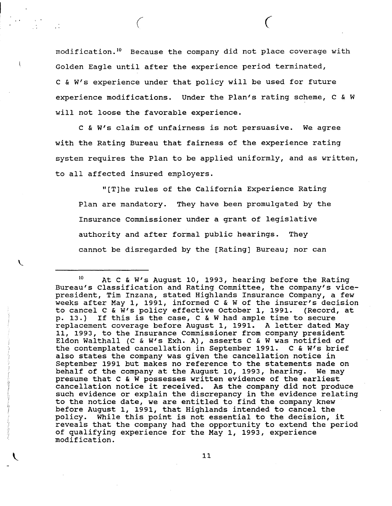modification. 10 Because the company did not place coverage with Golden Eagle until after the experience period terminated, c & W's experience under that policy will be used for future experience modifications. Under the Plan's rating scheme, C & W will not loose the favorable experience.

*( (* 

c & W's claim of unfairness is not persuasive. We agree with the Rating Bureau that fairness of the experience rating system requires the Plan to be applied uniformly, and as written, to all affected insured employers.

''[T]he rules of the California Experience Rating Plan are mandatory. They have been promulgated by the Insurance Commissioner under a grant of legislative authority and after formal public hearings. They cannot be disregarded by the [Rating] Bureau; nor can

 $\mathcal{L}$ 

<sup>10</sup> At c & W's August 10, 1993, hearing before the Rating Bureau's Classification and Rating Committee, the company's vicepresident, Tim Inzana, stated Highlands Insurance Company, a few weeks after May 1, 1991, informed C & W of the insurer's decision to cancel C &  $\hat{W}'$ s policy effective October 1, 1991. (Record, at p. 13.) If this is the case, C & W had ample time to secure If this is the case,  $C \& W$  had ample time to secure replacement coverage before August 1, 1991. A letter dated May 11, 1993, to the Insurance Commissioner from company president Eldon Walthall (C & W's Exh. A), asserts C & W was notified of the contemplated cancellation in September 1991. C & W's brief also states the company was given the cancellation notice in September 1991 but makes no reference to the statements made on<br>behalf of the company at the August 10, 1993, hearing. We may behalf of the company at the August 10, 1993, hearing. presume that C & W possesses written evidence of the earliest cancellation notice it received. As the company did not produce such evidence or explain the discrepancy in the evidence relating to the notice date, we are entitled to find the company knew before August 1, 1991, that Highlands intended to cancel the policy. While this point is not essential to the decision, it reveals that the company had the opportunity to extend the period of qualifying experience for the May 1, 1993, experience modification.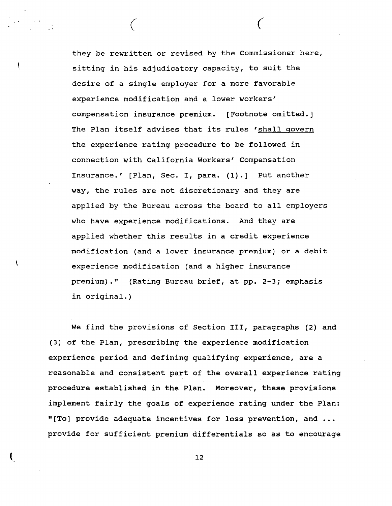they be rewritten or revised by the Commissioner here, sitting in his adjudicatory capacity, to suit the desire of a single employer for a more favorable experience modification and a lower workers' compensation insurance premium. [Footnote omitted.] The Plan itself advises that its rules 'shall govern the experience rating procedure to be followed in connection with California Workers' Compensation Insurance.' [Plan, Sec. I, para. (1).] Put another way, the rules are not discretionary and they are applied by the Bureau across the board to all employers who have experience modifications. And they are applied whether this results in a credit experience modification (and a lower insurance premium) or a debit experience modification (and a higher insurance premium)." (Rating Bureau brief, at pp. 2-3; emphasis in original.)

*( (* 

ł

We find the provisions of Section III, paragraphs (2) and (3) of the Plan, prescribing the experience modification experience period and defining qualifying experience, are a reasonable and consistent part of the overall experience rating procedure established in the Plan. Moreover, these provisions implement fairly the goals of experience rating under the Plan: "[To] provide adequate incentives for loss prevention, and ... provide for sufficient premium differentials so as to encourage

(and  $\overline{12}$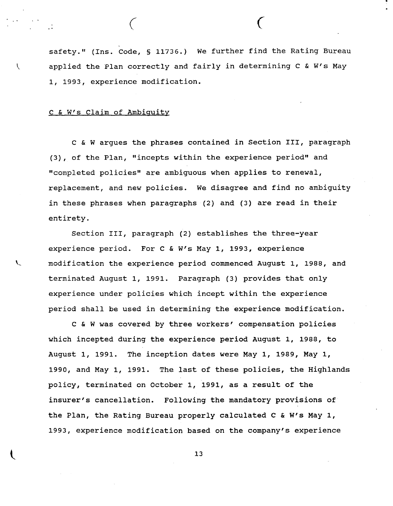safety." (Ins. code, § 11736.) We further find the Rating Bureau applied the Plan correctly and fairly in determining C & W's May 1, 1993, experience modification.

*( (* 

## C & W's Claim of Ambiguity

<sup>c</sup>& W argues the phrases contained in Section III, paragraph (3), of the Plan, "incepts within the experience period" and "completed policies" are ambiguous when applies to renewal, replacement, and new policies. We disagree and find no ambiguity in these phrases when paragraphs (2) and (3) are read in their entirety.

Section III, paragraph (2) establishes the three-year experience period. For C & W's May 1, 1993, experience modification the experience period commenced August 1, 1988, and terminated August 1, 1991. Paragraph (3) provides that only experience under policies which incept within the experience period shall be used in determining the experience modification.

c & W was covered by three workers' compensation policies which incepted during the experience period August 1, 1988, to August 1, 1991. The inception dates were May 1, 1989, May 1, 1990, and May 1, 1991. The last of these policies, the Highlands policy, terminated on October 1, 1991, as a result of the insurer's cancellation. Following the mandatory provisions of the Plan, the Rating Bureau properly calculated C & W's May 1, 1993, experience modification based on the company's experience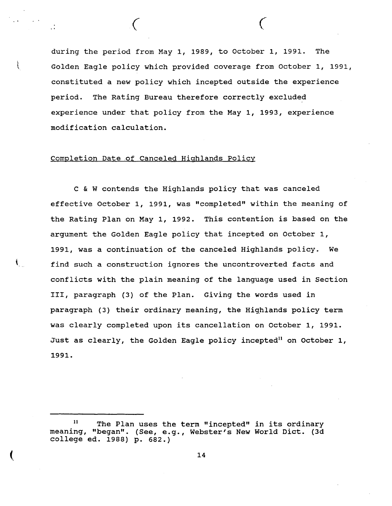during the period from May 1, 1989, to October 1, 1991. The •\ Golden Eagle policy which provided coverage from October 1, 1991, constituted a new policy which incepted outside the experience period. The Rating Bureau therefore correctly excluded experience under that policy from the May 1, 1993, experience modification calculation.

*( (* 

## Completion Date of Canceled Highlands Policy

 $\mathbf{I}_{\mathbf{r}}$ 

c & W contends the Highlands policy that was canceled effective October 1, 1991, was "completed" within the meaning of the Rating Plan on May 1, 1992. This contention is based on the argument the Golden Eagle policy that incepted on October 1, 1991, was a continuation of the canceled Highlands policy. We find such a construction ignores the uncontroverted facts and conflicts with the plain meaning of the language used in Section III, paragraph (3) of the Plan. Giving the words used in paragraph (3) their ordinary meaning, the Highlands policy term was clearly completed upon its cancellation on October 1, 1991. Just as clearly, the Golden Eagle policy incepted<sup>11</sup> on October 1, 1991.

<sup>&</sup>lt;sup>11</sup> The Plan uses the term "incepted" in its ordinary meaning, "began". (See, e.g., Webster's New World Diet. (3d college ed. 1988) p. 682.)